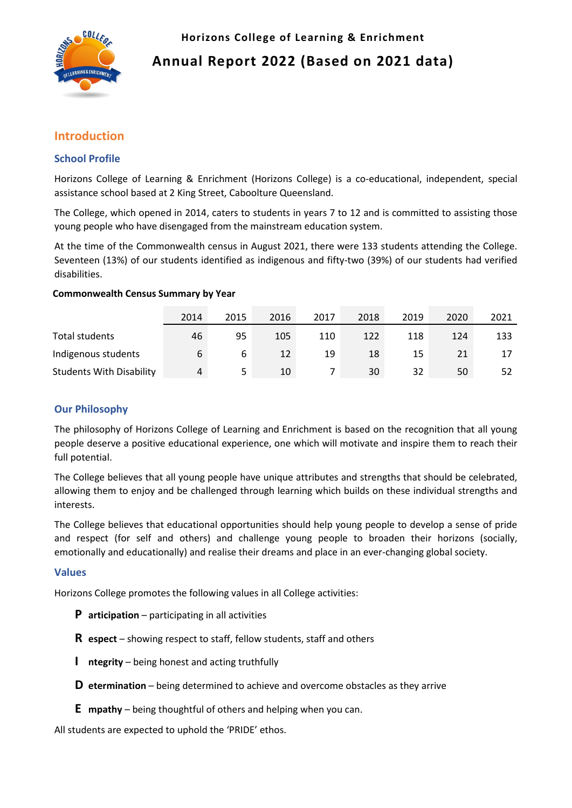

**Horizons College of Learning & Enrichment Annual Report 2022 (Based on 2021 data)**

# **Introduction**

# **School Profile**

Horizons College of Learning & Enrichment (Horizons College) is a co-educational, independent, special assistance school based at 2 King Street, Caboolture Queensland.

The College, which opened in 2014, caters to students in years 7 to 12 and is committed to assisting those young people who have disengaged from the mainstream education system.

At the time of the Commonwealth census in August 2021, there were 133 students attending the College. Seventeen (13%) of our students identified as indigenous and fifty-two (39%) of our students had verified disabilities.

## **Commonwealth Census Summary by Year**

|                                 | 2014 | 2015 | 2016 | 2017 | 2018 | 2019 | 2020 | 2021 |
|---------------------------------|------|------|------|------|------|------|------|------|
| Total students                  | 46   | 95   | 105  | 110  | 122  | 118  | 124  | 133  |
| Indigenous students             | 6    | b    | 12   | 19   | 18   | 15   | 21   |      |
| <b>Students With Disability</b> | 4    |      | 10   |      | 30   | 32   | 50   |      |

# **Our Philosophy**

The philosophy of Horizons College of Learning and Enrichment is based on the recognition that all young people deserve a positive educational experience, one which will motivate and inspire them to reach their full potential.

The College believes that all young people have unique attributes and strengths that should be celebrated, allowing them to enjoy and be challenged through learning which builds on these individual strengths and interests.

The College believes that educational opportunities should help young people to develop a sense of pride and respect (for self and others) and challenge young people to broaden their horizons (socially, emotionally and educationally) and realise their dreams and place in an ever-changing global society.

## **Values**

Horizons College promotes the following values in all College activities:

- **P articipation** participating in all activities
- **R espect** showing respect to staff, fellow students, staff and others
- **I ntegrity**  being honest and acting truthfully
- **D etermination** being determined to achieve and overcome obstacles as they arrive
- **E mpathy** being thoughtful of others and helping when you can.

All students are expected to uphold the 'PRIDE' ethos.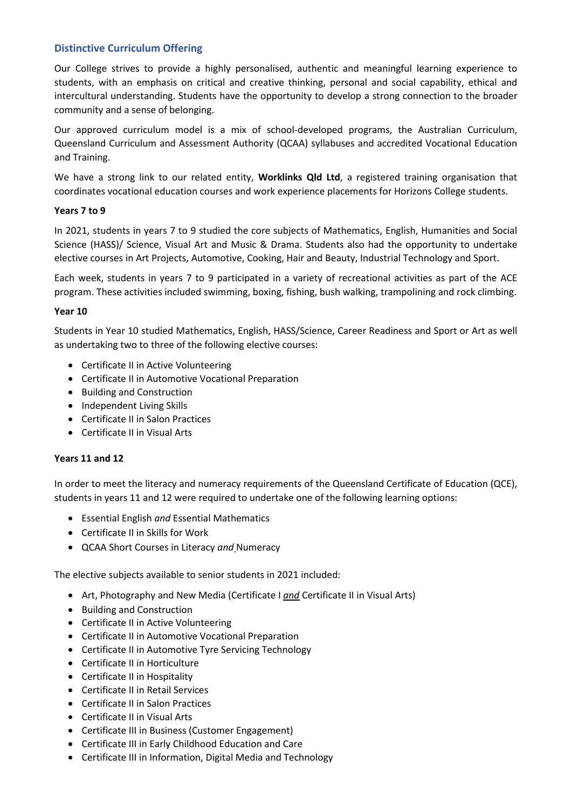## **Distinctive Curriculum Offering**

Our College strives to provide a highly personalised, authentic and meaningful learning experience to students, with an emphasis on critical and creative thinking, personal and social capability, ethical and intercultural understanding. Students have the opportunity to develop a strong connection to the broader community and a sense of belonging.

Our approved curriculum model is a mix of school-developed programs, the Australian Curriculum, Queensland Curriculum and Assessment Authority (QCAA) syllabuses and accredited Vocational Education and Training.

We have a strong link to our related entity, **Worklinks Qld Ltd**, a registered training organisation that coordinates vocational education courses and work experience placements for Horizons College students.

## **Years 7 to 9**

In 2021, students in years 7 to 9 studied the core subjects of Mathematics, English, Humanities and Social Science (HASS)/ Science, Visual Art and Music & Drama. Students also had the opportunity to undertake elective courses in Art Projects, Automotive, Cooking, Hair and Beauty, Industrial Technology and Sport.

Each week, students in years 7 to 9 participated in a variety of recreational activities as part of the ACE program. These activities included swimming, boxing, fishing, bush walking, trampolining and rock climbing.

## **Year 10**

Students in Year 10 studied Mathematics, English, HASS/Science, Career Readiness and Sport or Art as well as undertaking two to three of the following elective courses:

- Certificate II in Active Volunteering
- Certificate II in Automotive Vocational Preparation
- Building and Construction
- Independent Living Skills
- Certificate II in Salon Practices
- Certificate II in Visual Arts

## **Years 11 and 12**

In order to meet the literacy and numeracy requirements of the Queensland Certificate of Education (QCE), students in years 11 and 12 were required to undertake one of the following learning options:

- Essential English *and* Essential Mathematics
- Certificate II in Skills for Work
- QCAA Short Courses in Literacy *and* Numeracy

The elective subjects available to senior students in 2021 included:

- Art, Photography and New Media (Certificate I *and* Certificate II in Visual Arts)
- Building and Construction
- Certificate II in Active Volunteering
- Certificate II in Automotive Vocational Preparation
- Certificate II in Automotive Tyre Servicing Technology
- Certificate II in Horticulture
- Certificate II in Hospitality
- Certificate II in Retail Services
- Certificate II in Salon Practices
- Certificate II in Visual Arts
- Certificate III in Business (Customer Engagement)
- Certificate III in Early Childhood Education and Care
- Certificate III in Information, Digital Media and Technology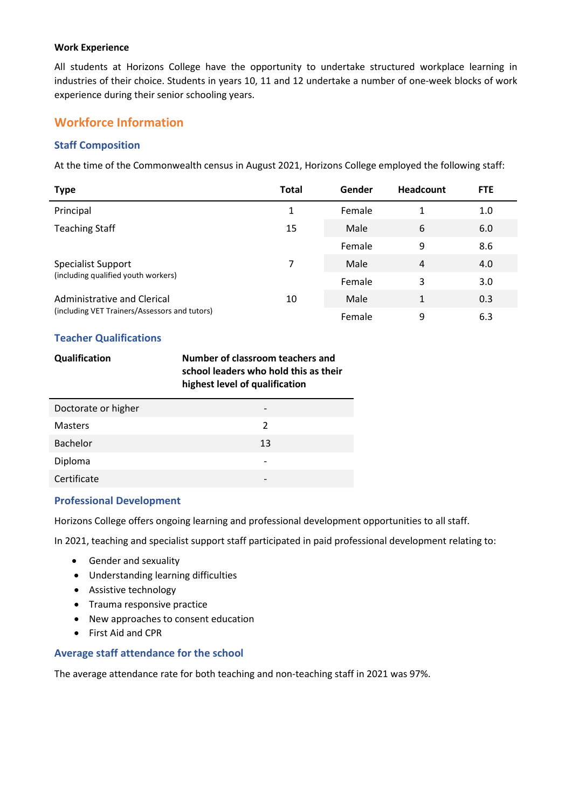#### **Work Experience**

All students at Horizons College have the opportunity to undertake structured workplace learning in industries of their choice. Students in years 10, 11 and 12 undertake a number of one-week blocks of work experience during their senior schooling years.

# **Workforce Information**

## **Staff Composition**

At the time of the Commonwealth census in August 2021, Horizons College employed the following staff:

| <b>Type</b>                                   | <b>Total</b> | Gender | <b>Headcount</b> | <b>FTE</b> |
|-----------------------------------------------|--------------|--------|------------------|------------|
| Principal                                     | 1            | Female | 1                | 1.0        |
| <b>Teaching Staff</b>                         | 15           | Male   | 6                | 6.0        |
|                                               |              | Female | 9                | 8.6        |
| Specialist Support                            | 7            | Male   | $\overline{4}$   | 4.0        |
| (including qualified youth workers)           |              | Female | 3                | 3.0        |
| Administrative and Clerical                   | 10           | Male   | 1                | 0.3        |
| (including VET Trainers/Assessors and tutors) |              | Female | 9                | 6.3        |

## **Teacher Qualifications**

| <b>Qualification</b> | Number of classroom teachers and      |
|----------------------|---------------------------------------|
|                      | school leaders who hold this as their |
|                      | highest level of qualification        |

| Doctorate or higher |    |  |
|---------------------|----|--|
| <b>Masters</b>      | 2  |  |
| <b>Bachelor</b>     | 13 |  |
| Diploma             |    |  |
| Certificate         |    |  |

## **Professional Development**

Horizons College offers ongoing learning and professional development opportunities to all staff.

In 2021, teaching and specialist support staff participated in paid professional development relating to:

- Gender and sexuality
- Understanding learning difficulties
- Assistive technology
- Trauma responsive practice
- New approaches to consent education
- First Aid and CPR

## **Average staff attendance for the school**

The average attendance rate for both teaching and non-teaching staff in 2021 was 97%.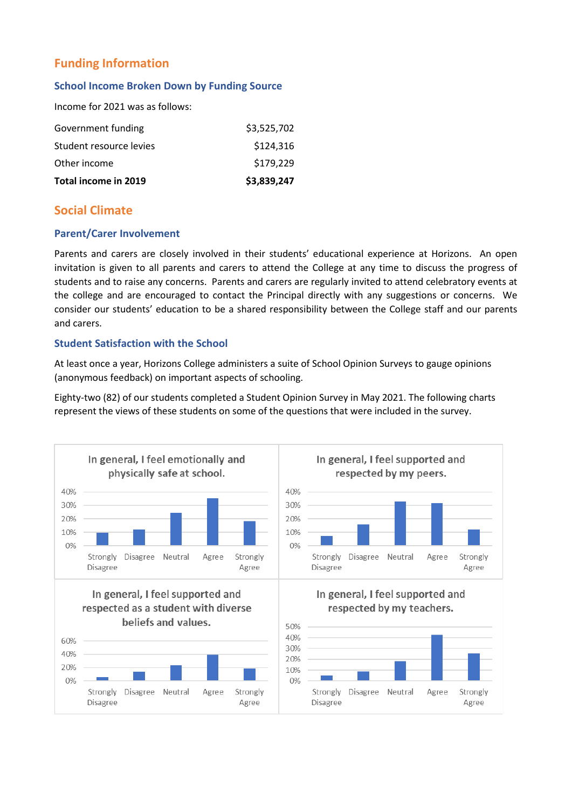# **Funding Information**

## **School Income Broken Down by Funding Source**

Income for 2021 was as follows:

| Total income in 2019    | \$3,839,247 |
|-------------------------|-------------|
| Other income            | \$179,229   |
| Student resource levies | \$124,316   |
| Government funding      | \$3,525,702 |
|                         |             |

# **Social Climate**

## **Parent/Carer Involvement**

Parents and carers are closely involved in their students' educational experience at Horizons. An open invitation is given to all parents and carers to attend the College at any time to discuss the progress of students and to raise any concerns. Parents and carers are regularly invited to attend celebratory events at the college and are encouraged to contact the Principal directly with any suggestions or concerns. We consider our students' education to be a shared responsibility between the College staff and our parents and carers.

## **Student Satisfaction with the School**

At least once a year, Horizons College administers a suite of School Opinion Surveys to gauge opinions (anonymous feedback) on important aspects of schooling.

Eighty-two (82) of our students completed a Student Opinion Survey in May 2021. The following charts represent the views of these students on some of the questions that were included in the survey.

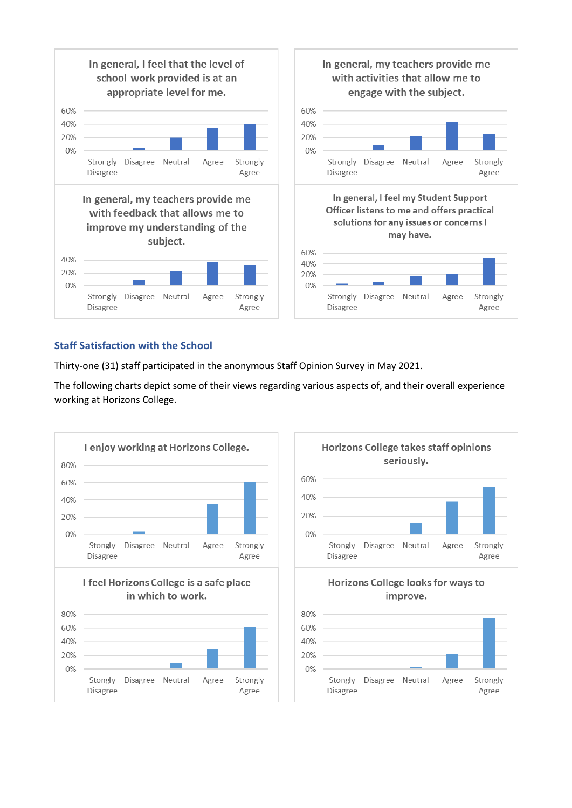

# **Staff Satisfaction with the School**

Thirty-one (31) staff participated in the anonymous Staff Opinion Survey in May 2021.

The following charts depict some of their views regarding various aspects of, and their overall experience working at Horizons College.





Strongly

Agree

Strongly

Agree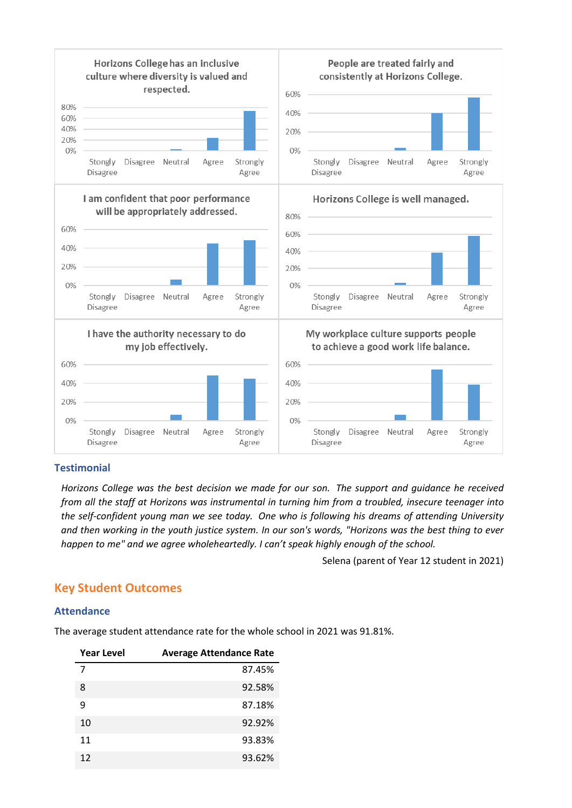

## **Testimonial**

*Horizons College was the best decision we made for our son. The support and guidance he received from all the staff at Horizons was instrumental in turning him from a troubled, insecure teenager into the self-confident young man we see today. One who is following his dreams of attending University and then working in the youth justice system. In our son's words, "Horizons was the best thing to ever happen to me" and we agree wholeheartedly. I can't speak highly enough of the school.*

Selena (parent of Year 12 student in 2021)

# **Key Student Outcomes**

## **Attendance**

The average student attendance rate for the whole school in 2021 was 91.81%.

| Year Level | <b>Average Attendance Rate</b> |
|------------|--------------------------------|
| 7          | 87.45%                         |
| 8          | 92.58%                         |
| 9          | 87.18%                         |
| 10         | 92.92%                         |
| 11         | 93.83%                         |
| 12         | 93.62%                         |